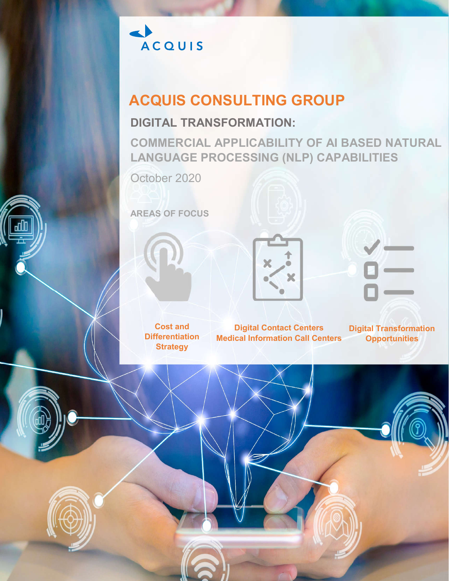

# **ACQUIS CONSULTING GROUP**

# **DIGITAL TRANSFORMATION:**

**COMMERCIAL APPLICABILITY OF AI BASED NATURAL LANGUAGE PROCESSING (NLP) CAPABILITIES**

October 2020

**AREAS OF FOCUS**







**Cost and Differentiation Strategy**

**Digital Contact Centers Medical Information Call Centers**

**Digital Transformation Opportunities**

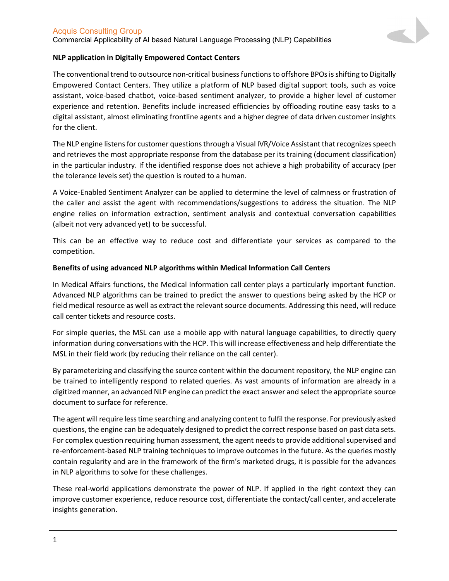# Acquis Consulting Group

Commercial Applicability of AI based Natural Language Processing (NLP) Capabilities



# **NLP application in Digitally Empowered Contact Centers**

The conventional trend to outsource non-critical business functions to offshore BPOs is shifting to Digitally Empowered Contact Centers. They utilize a platform of NLP based digital support tools, such as voice assistant, voice-based chatbot, voice-based sentiment analyzer, to provide a higher level of customer experience and retention. Benefits include increased efficiencies by offloading routine easy tasks to a digital assistant, almost eliminating frontline agents and a higher degree of data driven customer insights for the client.

The NLP engine listens for customer questions through a Visual IVR/Voice Assistant that recognizes speech and retrieves the most appropriate response from the database per its training (document classification) in the particular industry. If the identified response does not achieve a high probability of accuracy (per the tolerance levels set) the question is routed to a human.

A Voice-Enabled Sentiment Analyzer can be applied to determine the level of calmness or frustration of the caller and assist the agent with recommendations/suggestions to address the situation. The NLP engine relies on information extraction, sentiment analysis and contextual conversation capabilities (albeit not very advanced yet) to be successful.

This can be an effective way to reduce cost and differentiate your services as compared to the competition.

# **Benefits of using advanced NLP algorithms within Medical Information Call Centers**

In Medical Affairs functions, the Medical Information call center plays a particularly important function. Advanced NLP algorithms can be trained to predict the answer to questions being asked by the HCP or field medical resource as well as extract the relevant source documents. Addressing this need, will reduce call center tickets and resource costs.

For simple queries, the MSL can use a mobile app with natural language capabilities, to directly query information during conversations with the HCP. This will increase effectiveness and help differentiate the MSL in their field work (by reducing their reliance on the call center).

By parameterizing and classifying the source content within the document repository, the NLP engine can be trained to intelligently respond to related queries. As vast amounts of information are already in a digitized manner, an advanced NLP engine can predict the exact answer and select the appropriate source document to surface for reference.

The agent will require less time searching and analyzing content to fulfil the response. For previously asked questions, the engine can be adequately designed to predict the correct response based on past data sets. For complex question requiring human assessment, the agent needs to provide additional supervised and re-enforcement-based NLP training techniques to improve outcomes in the future. As the queries mostly contain regularity and are in the framework of the firm's marketed drugs, it is possible for the advances in NLP algorithms to solve for these challenges.

These real-world applications demonstrate the power of NLP. If applied in the right context they can improve customer experience, reduce resource cost, differentiate the contact/call center, and accelerate insights generation.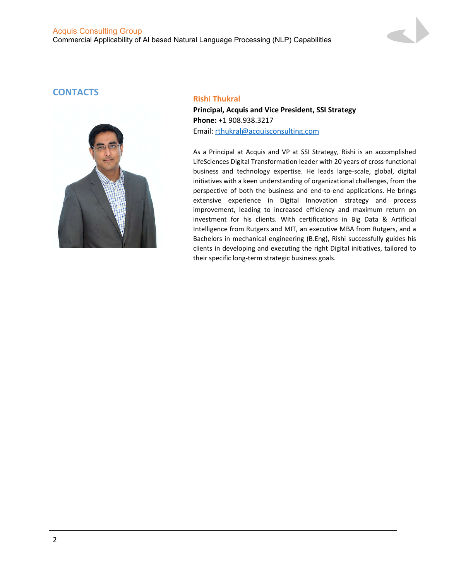# Acquis Consulting Group Commercial Applicability of AI based Natural Language Processing (NLP) Capabilities

# **CONTACTS Rishi Thukral**



**Principal, Acquis and Vice President, SSI Strategy Phone:** +1 908.938.3217 Email: rthukral@acquisconsulting.com

As a Principal at Acquis and VP at SSI Strategy, Rishi is an accomplished LifeSciences Digital Transformation leader with 20 years of cross-functional business and technology expertise. He leads large-scale, global, digital initiatives with a keen understanding of organizational challenges, from the perspective of both the business and end-to-end applications. He brings extensive experience in Digital Innovation strategy and process improvement, leading to increased efficiency and maximum return on investment for his clients. With certifications in Big Data & Artificial Intelligence from Rutgers and MIT, an executive MBA from Rutgers, and a Bachelors in mechanical engineering (B.Eng), Rishi successfully guides his clients in developing and executing the right Digital initiatives, tailored to their specific long-term strategic business goals.